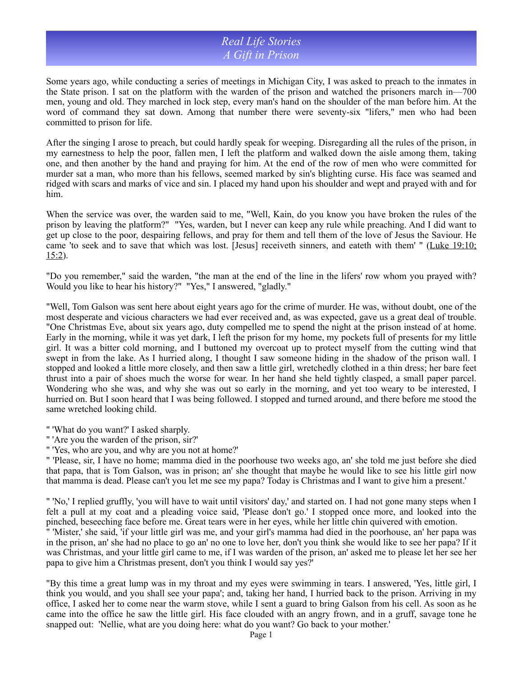## *Real Life Stories A Gift in Prison*

Some years ago, while conducting a series of meetings in Michigan City, I was asked to preach to the inmates in the State prison. I sat on the platform with the warden of the prison and watched the prisoners march in—700 men, young and old. They marched in lock step, every man's hand on the shoulder of the man before him. At the word of command they sat down. Among that number there were seventy-six "lifers," men who had been committed to prison for life.

After the singing I arose to preach, but could hardly speak for weeping. Disregarding all the rules of the prison, in my earnestness to help the poor, fallen men, I left the platform and walked down the aisle among them, taking one, and then another by the hand and praying for him. At the end of the row of men who were committed for murder sat a man, who more than his fellows, seemed marked by sin's blighting curse. His face was seamed and ridged with scars and marks of vice and sin. I placed my hand upon his shoulder and wept and prayed with and for him.

When the service was over, the warden said to me, "Well, Kain, do you know you have broken the rules of the prison by leaving the platform?" "Yes, warden, but I never can keep any rule while preaching. And I did want to get up close to the poor, despairing fellows, and pray for them and tell them of the love of Jesus the Saviour. He came 'to seek and to save that which was lost. [Jesus] receiveth sinners, and eateth with them' " (Luke 19:10; 15:2).

"Do you remember," said the warden, "the man at the end of the line in the lifers' row whom you prayed with? Would you like to hear his history?" "Yes," I answered, "gladly."

"Well, Tom Galson was sent here about eight years ago for the crime of murder. He was, without doubt, one of the most desperate and vicious characters we had ever received and, as was expected, gave us a great deal of trouble. "One Christmas Eve, about six years ago, duty compelled me to spend the night at the prison instead of at home. Early in the morning, while it was yet dark, I left the prison for my home, my pockets full of presents for my little girl. It was a bitter cold morning, and I buttoned my overcoat up to protect myself from the cutting wind that swept in from the lake. As I hurried along, I thought I saw someone hiding in the shadow of the prison wall. I stopped and looked a little more closely, and then saw a little girl, wretchedly clothed in a thin dress; her bare feet thrust into a pair of shoes much the worse for wear. In her hand she held tightly clasped, a small paper parcel. Wondering who she was, and why she was out so early in the morning, and yet too weary to be interested, I hurried on. But I soon heard that I was being followed. I stopped and turned around, and there before me stood the same wretched looking child.

" 'What do you want?' I asked sharply.

- " 'Are you the warden of the prison, sir?'
- " 'Yes, who are you, and why are you not at home?'

" 'Please, sir, I have no home; mamma died in the poorhouse two weeks ago, an' she told me just before she died that papa, that is Tom Galson, was in prison; an' she thought that maybe he would like to see his little girl now that mamma is dead. Please can't you let me see my papa? Today is Christmas and I want to give him a present.'

" 'No,' I replied gruffly, 'you will have to wait until visitors' day,' and started on. I had not gone many steps when I felt a pull at my coat and a pleading voice said, 'Please don't go.' I stopped once more, and looked into the pinched, beseeching face before me. Great tears were in her eyes, while her little chin quivered with emotion. " 'Mister,' she said, 'if your little girl was me, and your girl's mamma had died in the poorhouse, an' her papa was

in the prison, an' she had no place to go an' no one to love her, don't you think she would like to see her papa? If it was Christmas, and your little girl came to me, if I was warden of the prison, an' asked me to please let her see her papa to give him a Christmas present, don't you think I would say yes?'

"By this time a great lump was in my throat and my eyes were swimming in tears. I answered, 'Yes, little girl, I think you would, and you shall see your papa'; and, taking her hand, I hurried back to the prison. Arriving in my office, I asked her to come near the warm stove, while I sent a guard to bring Galson from his cell. As soon as he came into the office he saw the little girl. His face clouded with an angry frown, and in a gruff, savage tone he snapped out: 'Nellie, what are you doing here: what do you want? Go back to your mother.'